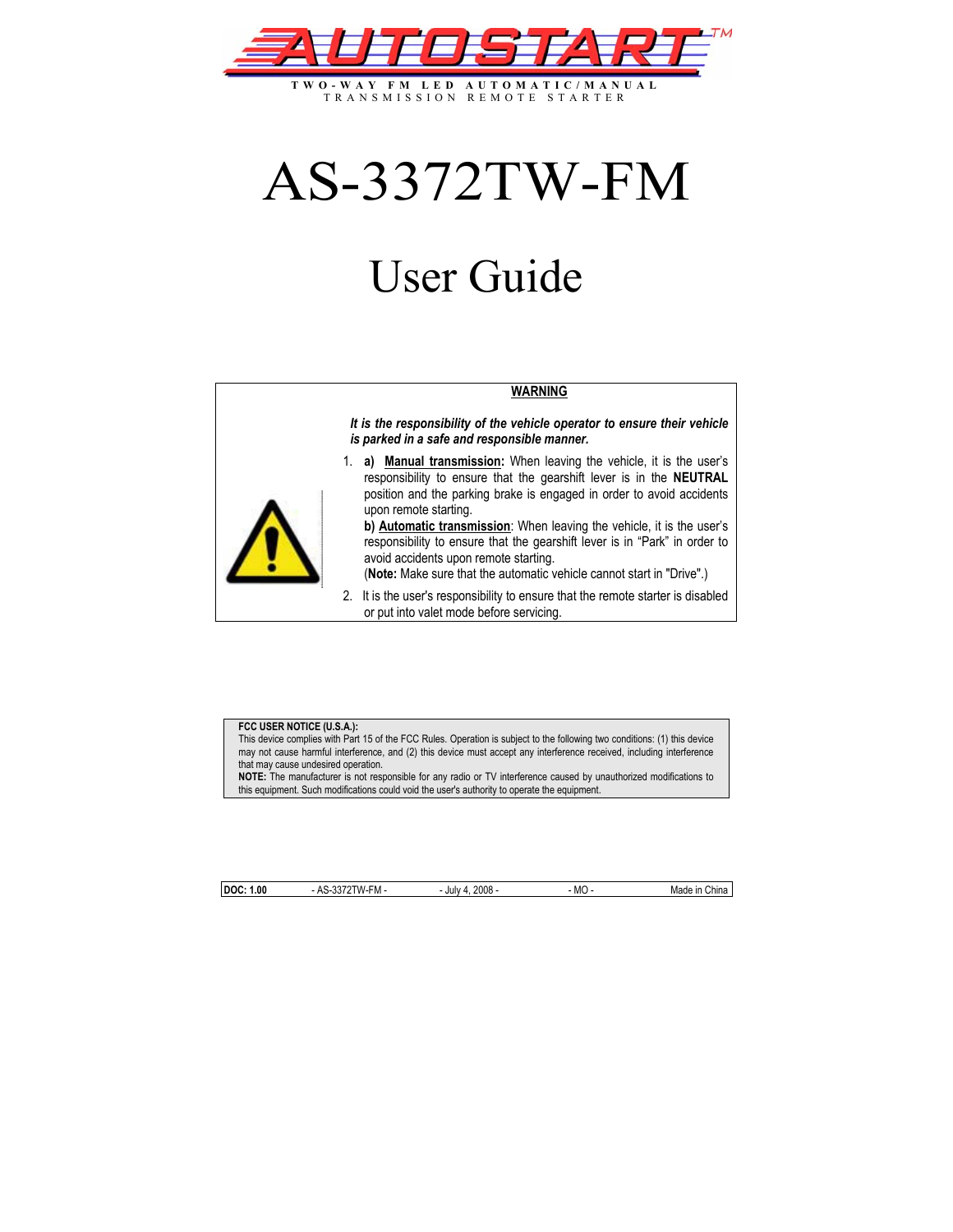

**TWO-WAY FM LED AUTOMATIC/MANUAL** TRANSMISSION REMOTE STARTER

# AS-3372TW-FM

# User Guide

#### **WARNING**

*It is the responsibility of the vehicle operator to ensure their vehicle is parked in a safe and responsible manner.* 

1. **a) Manual transmission:** When leaving the vehicle, it is the user's responsibility to ensure that the gearshift lever is in the **NEUTRAL** position and the parking brake is engaged in order to avoid accidents upon remote starting.

**b) Automatic transmission**: When leaving the vehicle, it is the user's responsibility to ensure that the gearshift lever is in "Park" in order to avoid accidents upon remote starting.

(**Note:** Make sure that the automatic vehicle cannot start in "Drive".)

2. It is the user's responsibility to ensure that the remote starter is disabled or put into valet mode before servicing.

#### **FCC USER NOTICE (U.S.A.):**

This device complies with Part 15 of the FCC Rules. Operation is subject to the following two conditions: (1) this device may not cause harmful interference, and (2) this device must accept any interference received, including interference that may cause undesired operation.

**NOTE:** The manufacturer is not responsible for any radio or TV interference caused by unauthorized modifications to this equipment. Such modifications could void the user's authority to operate the equipment.

|   |  | ł<br>í           |
|---|--|------------------|
| ï |  | ۰<br>i<br>۰<br>î |
|   |  | ۰<br>í<br>۷<br>۹ |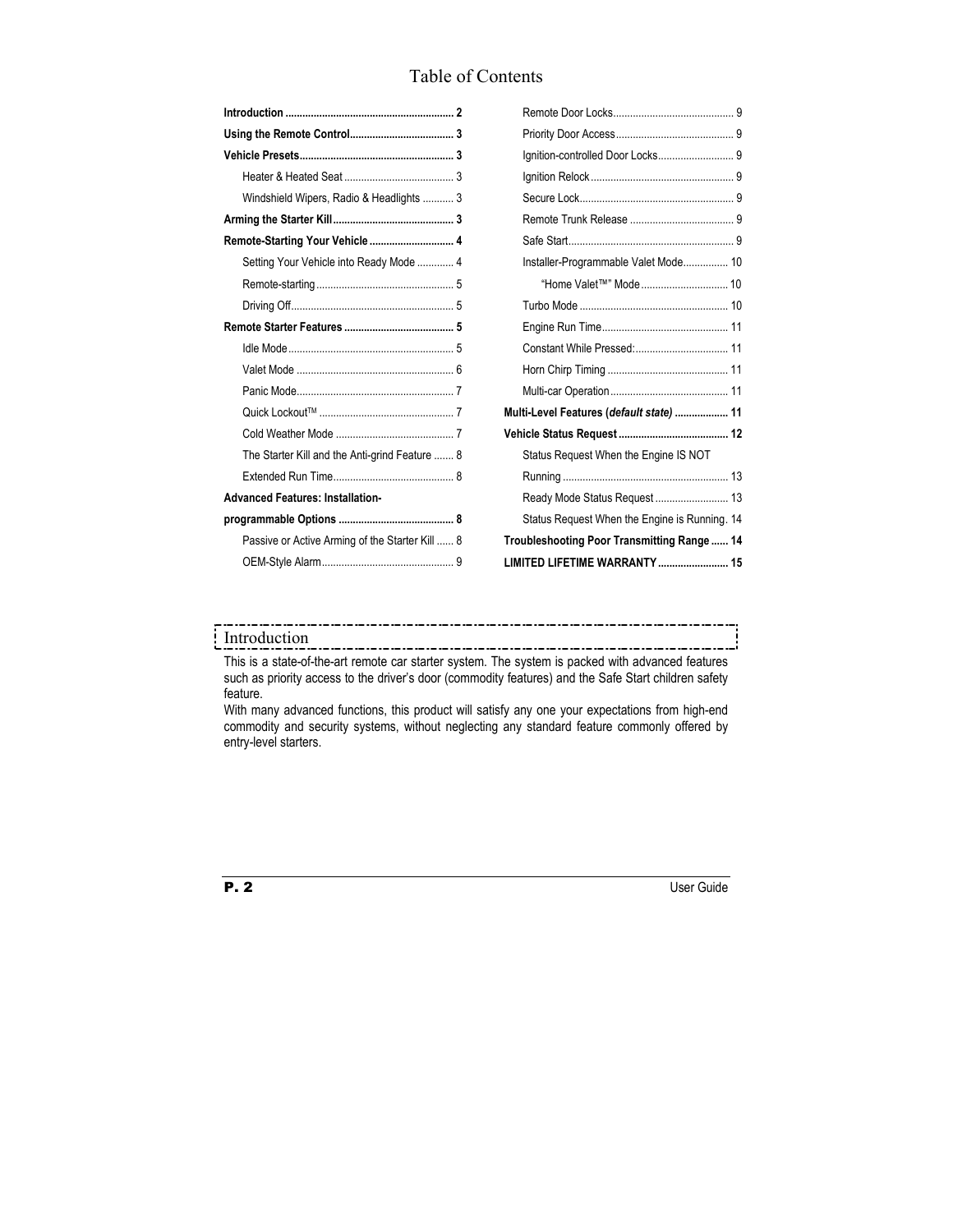# Table of Contents

| Windshield Wipers, Radio & Headlights  3        |
|-------------------------------------------------|
|                                                 |
| Remote-Starting Your Vehicle  4                 |
| Setting Your Vehicle into Ready Mode  4         |
|                                                 |
|                                                 |
|                                                 |
|                                                 |
|                                                 |
|                                                 |
|                                                 |
|                                                 |
| The Starter Kill and the Anti-grind Feature  8  |
|                                                 |
| <b>Advanced Features: Installation-</b>         |
|                                                 |
| Passive or Active Arming of the Starter Kill  8 |
|                                                 |
|                                                 |

| Ignition-controlled Door Locks 9              |  |
|-----------------------------------------------|--|
|                                               |  |
|                                               |  |
|                                               |  |
|                                               |  |
| Installer-Programmable Valet Mode 10          |  |
| "Home Valet™" Mode 10                         |  |
|                                               |  |
|                                               |  |
|                                               |  |
|                                               |  |
|                                               |  |
| Multi-Level Features (default state)  11      |  |
|                                               |  |
| Status Request When the Engine IS NOT         |  |
|                                               |  |
|                                               |  |
| Status Request When the Engine is Running. 14 |  |
| Troubleshooting Poor Transmitting Range  14   |  |
| LIMITED LIFETIME WARRANTY  15                 |  |

# Introduction

This is a state-of-the-art remote car starter system. The system is packed with advanced features such as priority access to the driver's door (commodity features) and the Safe Start children safety feature.

. . . . . . . . . . . . . . .

-------------

With many advanced functions, this product will satisfy any one your expectations from high-end commodity and security systems, without neglecting any standard feature commonly offered by entry-level starters.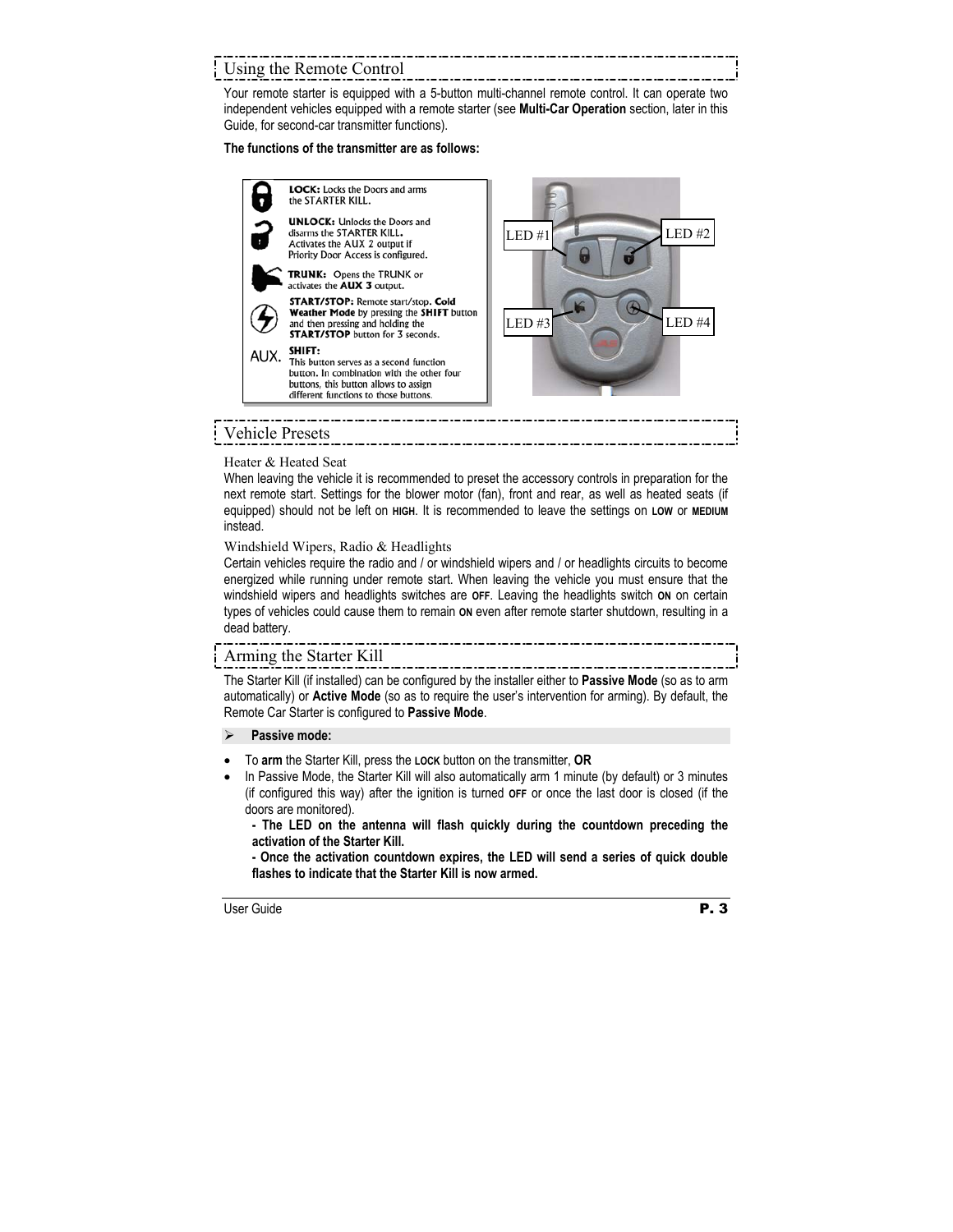# Using the Remote Control

Your remote starter is equipped with a 5-button multi-channel remote control. It can operate two independent vehicles equipped with a remote starter (see **Multi-Car Operation** section, later in this Guide, for second-car transmitter functions).

#### **The functions of the transmitter are as follows:**



# Heater & Heated Seat

When leaving the vehicle it is recommended to preset the accessory controls in preparation for the next remote start. Settings for the blower motor (fan), front and rear, as well as heated seats (if equipped) should not be left on **HIGH**. It is recommended to leave the settings on **LOW** or **MEDIUM** instead.

#### Windshield Wipers, Radio & Headlights

Certain vehicles require the radio and / or windshield wipers and / or headlights circuits to become energized while running under remote start. When leaving the vehicle you must ensure that the windshield wipers and headlights switches are **OFF**. Leaving the headlights switch **ON** on certain types of vehicles could cause them to remain **ON** even after remote starter shutdown, resulting in a dead battery.

# Arming the Starter Kill

The Starter Kill (if installed) can be configured by the installer either to **Passive Mode** (so as to arm automatically) or **Active Mode** (so as to require the user's intervention for arming). By default, the Remote Car Starter is configured to **Passive Mode**.

### Passive mode:

- To **arm** the Starter Kill, press the **LOCK** button on the transmitter, **OR**
- In Passive Mode, the Starter Kill will also automatically arm 1 minute (by default) or 3 minutes (if configured this way) after the ignition is turned **OFF** or once the last door is closed (if the doors are monitored).

**- The LED on the antenna will flash quickly during the countdown preceding the activation of the Starter Kill.** 

**- Once the activation countdown expires, the LED will send a series of quick double flashes to indicate that the Starter Kill is now armed.**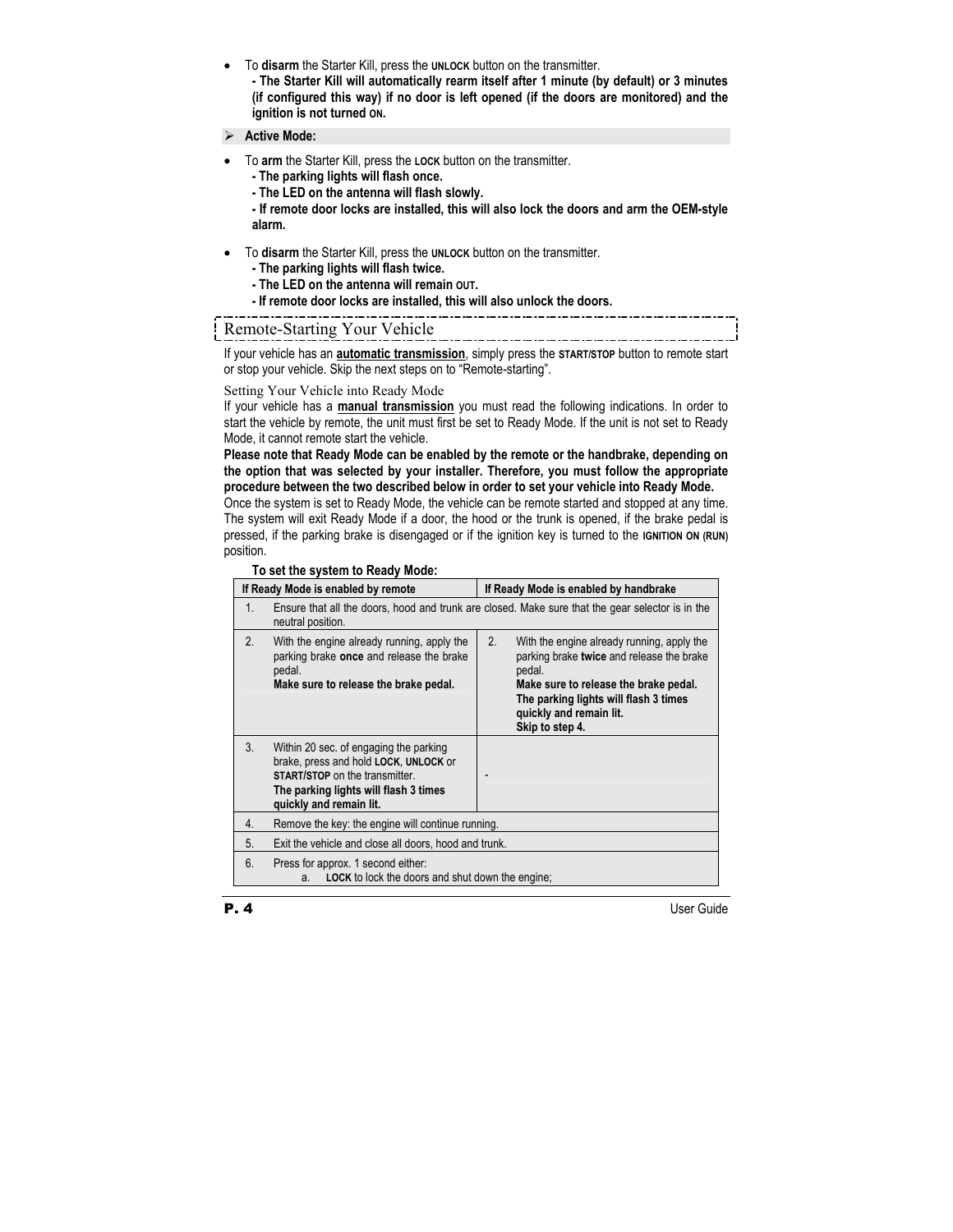• To **disarm** the Starter Kill, press the **UNLOCK** button on the transmitter.

**- The Starter Kill will automatically rearm itself after 1 minute (by default) or 3 minutes (if configured this way) if no door is left opened (if the doors are monitored) and the ignition is not turned ON.** 

- ¾ **Active Mode:**
- To **arm** the Starter Kill, press the **LOCK** button on the transmitter.
	- **The parking lights will flash once.**
	- **The LED on the antenna will flash slowly.**

**- If remote door locks are installed, this will also lock the doors and arm the OEM-style alarm.** 

- To **disarm** the Starter Kill, press the **UNLOCK** button on the transmitter.
	- **The parking lights will flash twice.**
	- **The LED on the antenna will remain OUT.**
	- **If remote door locks are installed, this will also unlock the doors.**

# Remote-Starting Your Vehicle

If your vehicle has an **automatic transmission**, simply press the **START/STOP** button to remote start or stop your vehicle. Skip the next steps on to "Remote-starting".

#### Setting Your Vehicle into Ready Mode

If your vehicle has a **manual transmission** you must read the following indications. In order to start the vehicle by remote, the unit must first be set to Ready Mode. If the unit is not set to Ready Mode, it cannot remote start the vehicle.

**Please note that Ready Mode can be enabled by the remote or the handbrake, depending on the option that was selected by your installer. Therefore, you must follow the appropriate procedure between the two described below in order to set your vehicle into Ready Mode.** 

Once the system is set to Ready Mode, the vehicle can be remote started and stopped at any time. The system will exit Ready Mode if a door, the hood or the trunk is opened, if the brake pedal is pressed, if the parking brake is disengaged or if the ignition key is turned to the **IGNITION ON (RUN)** position.

#### **To set the system to Ready Mode:**

|         | If Ready Mode is enabled by remote                                                                                                                                                           | If Ready Mode is enabled by handbrake                                                                                                                                                                                                   |
|---------|----------------------------------------------------------------------------------------------------------------------------------------------------------------------------------------------|-----------------------------------------------------------------------------------------------------------------------------------------------------------------------------------------------------------------------------------------|
| $1_{-}$ | neutral position.                                                                                                                                                                            | Ensure that all the doors, hood and trunk are closed. Make sure that the gear selector is in the                                                                                                                                        |
| 2.      | With the engine already running, apply the<br>parking brake once and release the brake<br>pedal.<br>Make sure to release the brake pedal.                                                    | 2.<br>With the engine already running, apply the<br>parking brake twice and release the brake<br>pedal.<br>Make sure to release the brake pedal.<br>The parking lights will flash 3 times<br>quickly and remain lit.<br>Skip to step 4. |
| 3.      | Within 20 sec. of engaging the parking<br>brake, press and hold LOCK, UNLOCK or<br><b>START/STOP</b> on the transmitter.<br>The parking lights will flash 3 times<br>quickly and remain lit. |                                                                                                                                                                                                                                         |
| 4.      | Remove the key: the engine will continue running.                                                                                                                                            |                                                                                                                                                                                                                                         |
| 5.      | Exit the vehicle and close all doors, hood and trunk.                                                                                                                                        |                                                                                                                                                                                                                                         |
| 6.      | Press for approx. 1 second either:<br><b>LOCK</b> to lock the doors and shut down the engine;<br>a.                                                                                          |                                                                                                                                                                                                                                         |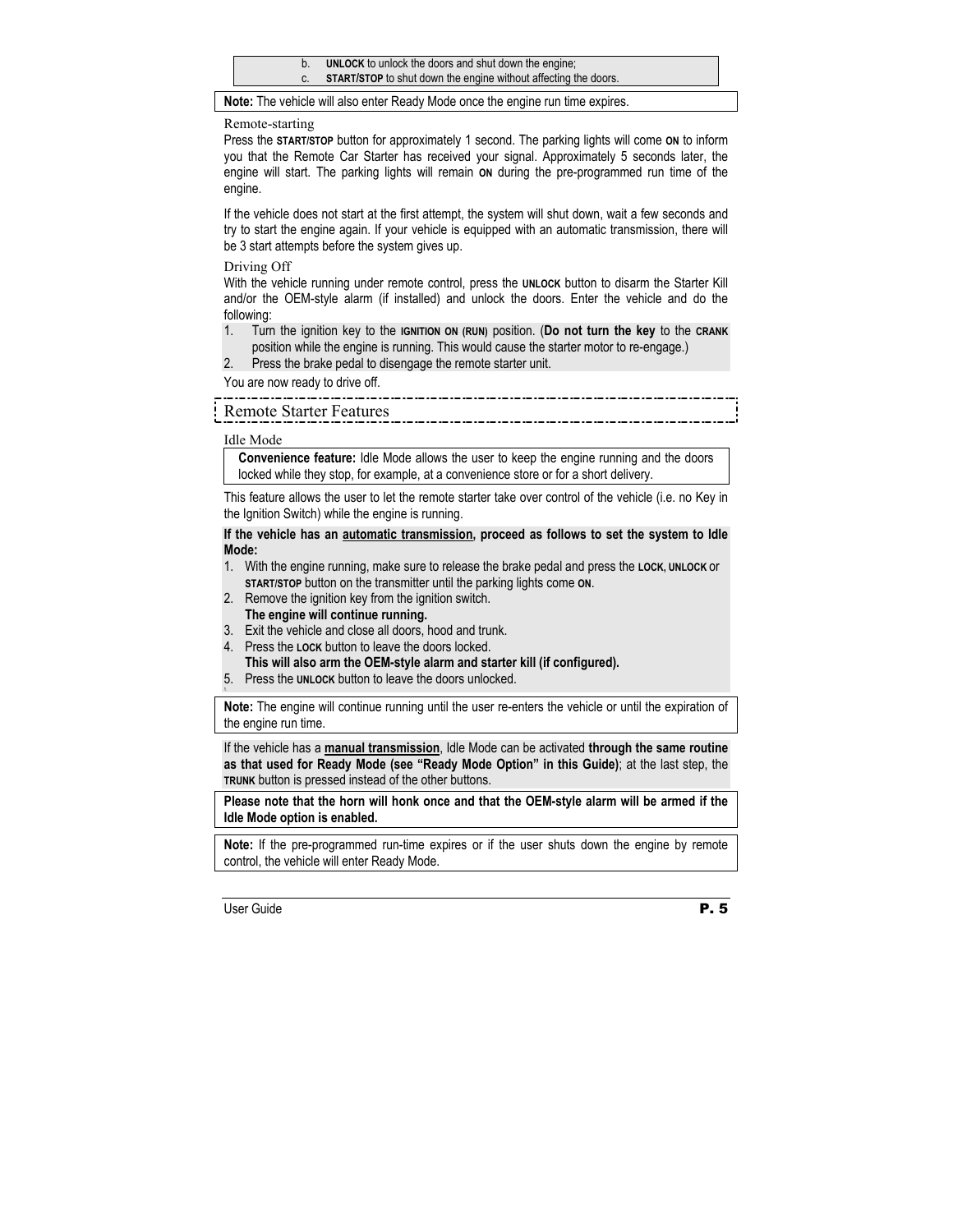- b. **UNLOCK** to unlock the doors and shut down the engine;
- c. **START/STOP** to shut down the engine without affecting the doors.

**Note:** The vehicle will also enter Ready Mode once the engine run time expires.

#### Remote-starting

Press the **START/STOP** button for approximately 1 second. The parking lights will come **ON** to inform you that the Remote Car Starter has received your signal. Approximately 5 seconds later, the engine will start. The parking lights will remain **ON** during the pre-programmed run time of the engine.

If the vehicle does not start at the first attempt, the system will shut down, wait a few seconds and try to start the engine again. If your vehicle is equipped with an automatic transmission, there will be 3 start attempts before the system gives up.

Driving Off

With the vehicle running under remote control, press the **UNLOCK** button to disarm the Starter Kill and/or the OEM-style alarm (if installed) and unlock the doors. Enter the vehicle and do the following:

- 1. Turn the ignition key to the **IGNITION ON (RUN)** position. (**Do not turn the key** to the **CRANK** position while the engine is running. This would cause the starter motor to re-engage.)
- 2. Press the brake pedal to disengage the remote starter unit.

You are now ready to drive off.

# Remote Starter Features

#### Idle Mode

**Convenience feature:** Idle Mode allows the user to keep the engine running and the doors locked while they stop, for example, at a convenience store or for a short delivery.

This feature allows the user to let the remote starter take over control of the vehicle (i.e. no Key in the Ignition Switch) while the engine is running.

#### **If the vehicle has an automatic transmission, proceed as follows to set the system to Idle Mode:**

- 1. With the engine running, make sure to release the brake pedal and press the **LOCK, UNLOCK** or **START/STOP** button on the transmitter until the parking lights come **ON**.
- 2. Remove the ignition key from the ignition switch.
	- **The engine will continue running.**
- 3. Exit the vehicle and close all doors, hood and trunk.
- 4. Press the **LOCK** button to leave the doors locked.

**This will also arm the OEM-style alarm and starter kill (if configured).**

5. Press the **UNLOCK** button to leave the doors unlocked. 1.

**Note:** The engine will continue running until the user re-enters the vehicle or until the expiration of the engine run time.

If the vehicle has a **manual transmission**, Idle Mode can be activated **through the same routine as that used for Ready Mode (see "Ready Mode Option" in this Guide)**; at the last step, the **TRUNK** button is pressed instead of the other buttons.

**Please note that the horn will honk once and that the OEM-style alarm will be armed if the Idle Mode option is enabled.** 

**Note:** If the pre-programmed run-time expires or if the user shuts down the engine by remote control, the vehicle will enter Ready Mode.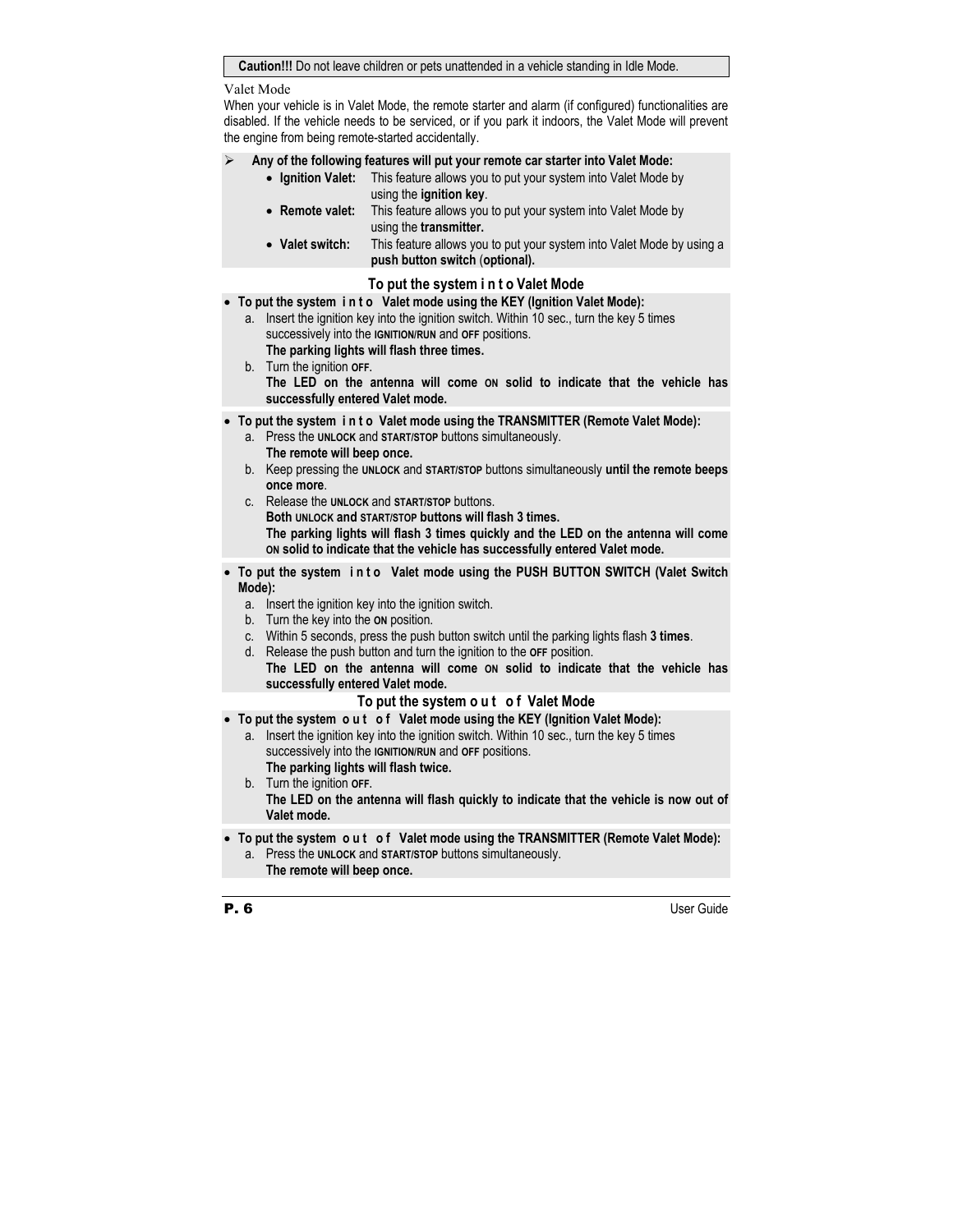#### **Caution!!!** Do not leave children or pets unattended in a vehicle standing in Idle Mode.

Valet Mode

When your vehicle is in Valet Mode, the remote starter and alarm (if configured) functionalities are disabled. If the vehicle needs to be serviced, or if you park it indoors, the Valet Mode will prevent the engine from being remote-started accidentally.

¾ **Any of the following features will put your remote car starter into Valet Mode:** 

- **Ignition Valet:** This feature allows you to put your system into Valet Mode by using the **ignition key**.
- **Remote valet:** This feature allows you to put your system into Valet Mode by using the **transmitter.**
- Valet switch: This feature allows you to put your system into Valet Mode by using a  **push button switch** (**optional).**

## **To put the system i n t o Valet Mode**

• **To put the system i n t o Valet mode using the KEY (Ignition Valet Mode):** 

- a. Insert the ignition key into the ignition switch. Within 10 sec., turn the key 5 times successively into the **IGNITION/RUN** and **OFF** positions. **The parking lights will flash three times.**
- b. Turn the ignition **OFF. The LED on the antenna will come ON solid to indicate that the vehicle has successfully entered Valet mode.**
- **To put the system i n t o Valet mode using the TRANSMITTER (Remote Valet Mode):** 
	- a. Press the **UNLOCK** and **START/STOP** buttons simultaneously. **The remote will beep once.**
	- b. Keep pressing the **UNLOCK** and **START/STOP** buttons simultaneously **until the remote beeps once more**.
	- c. Release the **UNLOCK** and **START/STOP** buttons. **Both UNLOCK and START/STOP buttons will flash 3 times. The parking lights will flash 3 times quickly and the LED on the antenna will come ON solid to indicate that the vehicle has successfully entered Valet mode.**
- To put the system in to Valet mode using the PUSH BUTTON SWITCH (Valet Switch **Mode):** 
	- a. Insert the ignition key into the ignition switch.
	- b. Turn the key into the **ON** position.
	- c. Within 5 seconds, press the push button switch until the parking lights flash **3 times**.
	- d. Release the push button and turn the ignition to the **OFF** position.  **The LED on the antenna will come ON solid to indicate that the vehicle has**
	- **successfully entered Valet mode.**

#### **To put the system o u t o f Valet Mode**

- **To put the system o u t o f Valet mode using the KEY (Ignition Valet Mode):** 
	- a. Insert the ignition key into the ignition switch. Within 10 sec., turn the key 5 times successively into the **IGNITION/RUN** and **OFF** positions. **The parking lights will flash twice.**
	- b. Turn the ignition **OFF. The LED on the antenna will flash quickly to indicate that the vehicle is now out of Valet mode.**
- **To put the system o u t o f Valet mode using the TRANSMITTER (Remote Valet Mode):** 
	- a. Press the **UNLOCK** and **START/STOP** buttons simultaneously. **The remote will beep once.**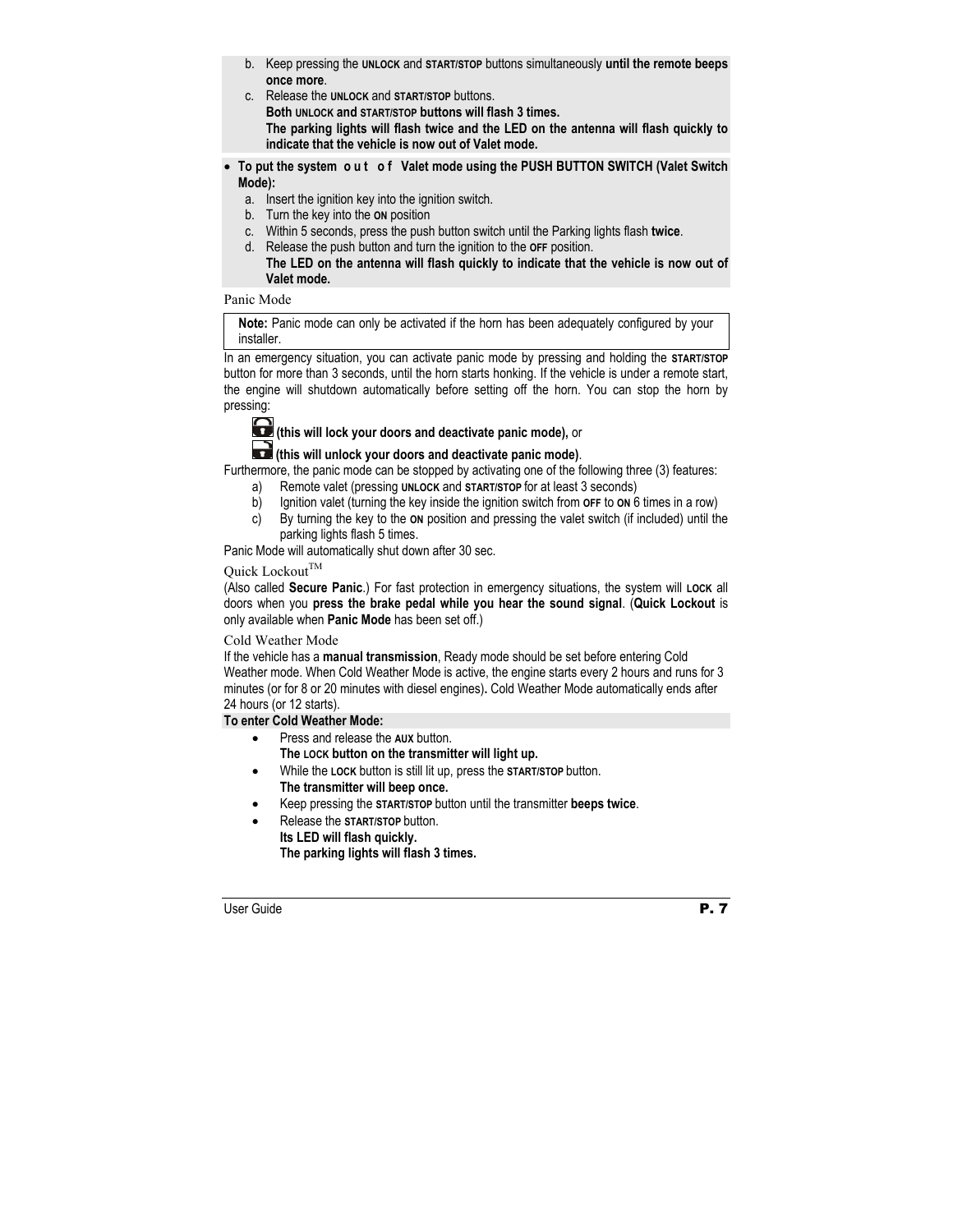- b. Keep pressing the **UNLOCK** and **START/STOP** buttons simultaneously **until the remote beeps once more**.
- c. Release the **UNLOCK** and **START/STOP** buttons. **Both UNLOCK and START/STOP buttons will flash 3 times. The parking lights will flash twice and the LED on the antenna will flash quickly to indicate that the vehicle is now out of Valet mode.**
- To put the system out of Valet mode using the PUSH BUTTON SWITCH (Valet Switch **Mode):** 
	- a. Insert the ignition key into the ignition switch.
	- b. Turn the key into the **ON** position
	- c. Within 5 seconds, press the push button switch until the Parking lights flash **twice**.
	- d. Release the push button and turn the ignition to the **OFF** position.
		- **The LED on the antenna will flash quickly to indicate that the vehicle is now out of Valet mode.**

#### Panic Mode

**Note:** Panic mode can only be activated if the horn has been adequately configured by your installer.

In an emergency situation, you can activate panic mode by pressing and holding the **START/STOP** button for more than 3 seconds, until the horn starts honking. If the vehicle is under a remote start, the engine will shutdown automatically before setting off the horn. You can stop the horn by pressing:



# **(this will lock your doors and deactivate panic mode),** or

# **(this will unlock your doors and deactivate panic mode)**.

Furthermore, the panic mode can be stopped by activating one of the following three (3) features:

- a) Remote valet (pressing **UNLOCK** and **START/STOP** for at least 3 seconds)
- b) Ignition valet (turning the key inside the ignition switch from **OFF** to **ON** 6 times in a row)
- c) By turning the key to the **ON** position and pressing the valet switch (if included) until the parking lights flash 5 times.

Panic Mode will automatically shut down after 30 sec.

# Quick Lockout<sup>TM</sup>

(Also called **Secure Panic**.) For fast protection in emergency situations, the system will **LOCK** all doors when you **press the brake pedal while you hear the sound signal**. (**Quick Lockout** is only available when **Panic Mode** has been set off.)

#### Cold Weather Mode

If the vehicle has a **manual transmission**, Ready mode should be set before entering Cold Weather mode. When Cold Weather Mode is active, the engine starts every 2 hours and runs for 3 minutes (or for 8 or 20 minutes with diesel engines)**.** Cold Weather Mode automatically ends after 24 hours (or 12 starts).

#### **To enter Cold Weather Mode:**

- Press and release the **AUX** button. **The LOCK button on the transmitter will light up.**
- While the **LOCK** button is still lit up, press the **START/STOP** button.  **The transmitter will beep once.**
- Keep pressing the **START/STOP** button until the transmitter **beeps twice**.
- Release the **START/STOP** button. **Its LED will flash quickly. The parking lights will flash 3 times.**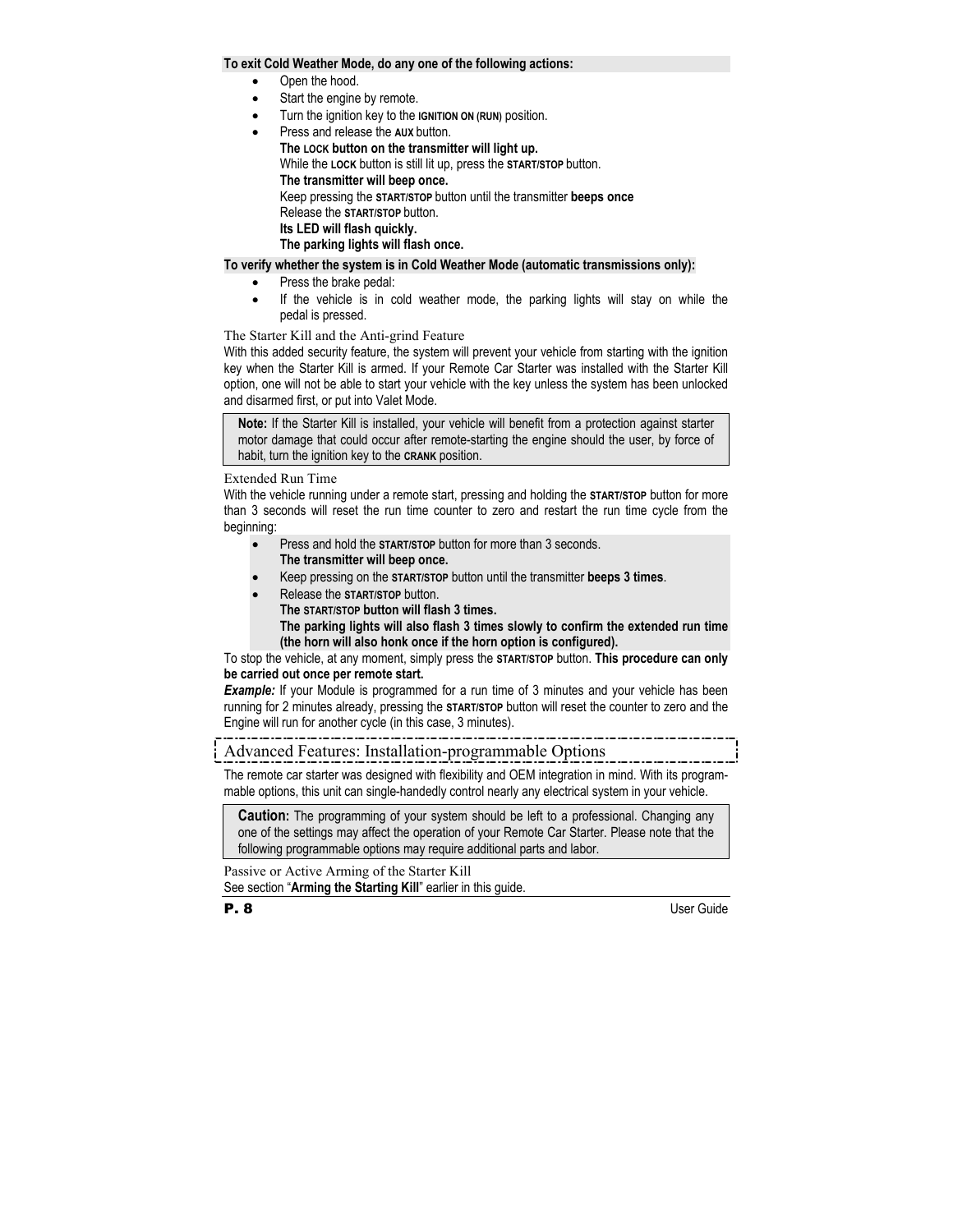#### **To exit Cold Weather Mode, do any one of the following actions:**

- Open the hood.
- Start the engine by remote.
- Turn the ignition key to the **IGNITION ON (RUN)** position.
- Press and release the **AUX** button.

 **The LOCK button on the transmitter will light up.**  While the **LOCK** button is still lit up, press the **START/STOP** button.  **The transmitter will beep once.**  Keep pressing the **START/STOP** button until the transmitter **beeps once**  Release the **START/STOP** button.  **Its LED will flash quickly. The parking lights will flash once.** 

#### **To verify whether the system is in Cold Weather Mode (automatic transmissions only):**

- Press the brake pedal:
- If the vehicle is in cold weather mode, the parking lights will stay on while the pedal is pressed.

The Starter Kill and the Anti-grind Feature

With this added security feature, the system will prevent your vehicle from starting with the ignition key when the Starter Kill is armed. If your Remote Car Starter was installed with the Starter Kill option, one will not be able to start your vehicle with the key unless the system has been unlocked and disarmed first, or put into Valet Mode.

**Note:** If the Starter Kill is installed, your vehicle will benefit from a protection against starter motor damage that could occur after remote-starting the engine should the user, by force of habit, turn the ignition key to the **CRANK** position.

#### Extended Run Time

With the vehicle running under a remote start, pressing and holding the **START/STOP** button for more than 3 seconds will reset the run time counter to zero and restart the run time cycle from the beginning:

- Press and hold the **START/STOP** button for more than 3 seconds.  **The transmitter will beep once.**
- Keep pressing on the **START/STOP** button until the transmitter **beeps 3 times**.
- Release the **START/STOP** button.

**The START/STOP button will flash 3 times.** 

 **The parking lights will also flash 3 times slowly to confirm the extended run time (the horn will also honk once if the horn option is configured).**

To stop the vehicle, at any moment, simply press the **START/STOP** button. **This procedure can only be carried out once per remote start.** 

**Example:** If your Module is programmed for a run time of 3 minutes and your vehicle has been running for 2 minutes already, pressing the **START/STOP** button will reset the counter to zero and the Engine will run for another cycle (in this case, 3 minutes).

# Advanced Features: Installation-programmable Options

The remote car starter was designed with flexibility and OEM integration in mind. With its programmable options, this unit can single-handedly control nearly any electrical system in your vehicle.

**Caution:** The programming of your system should be left to a professional. Changing any one of the settings may affect the operation of your Remote Car Starter. Please note that the following programmable options may require additional parts and labor.

Passive or Active Arming of the Starter Kill See section "**Arming the Starting Kill**" earlier in this guide.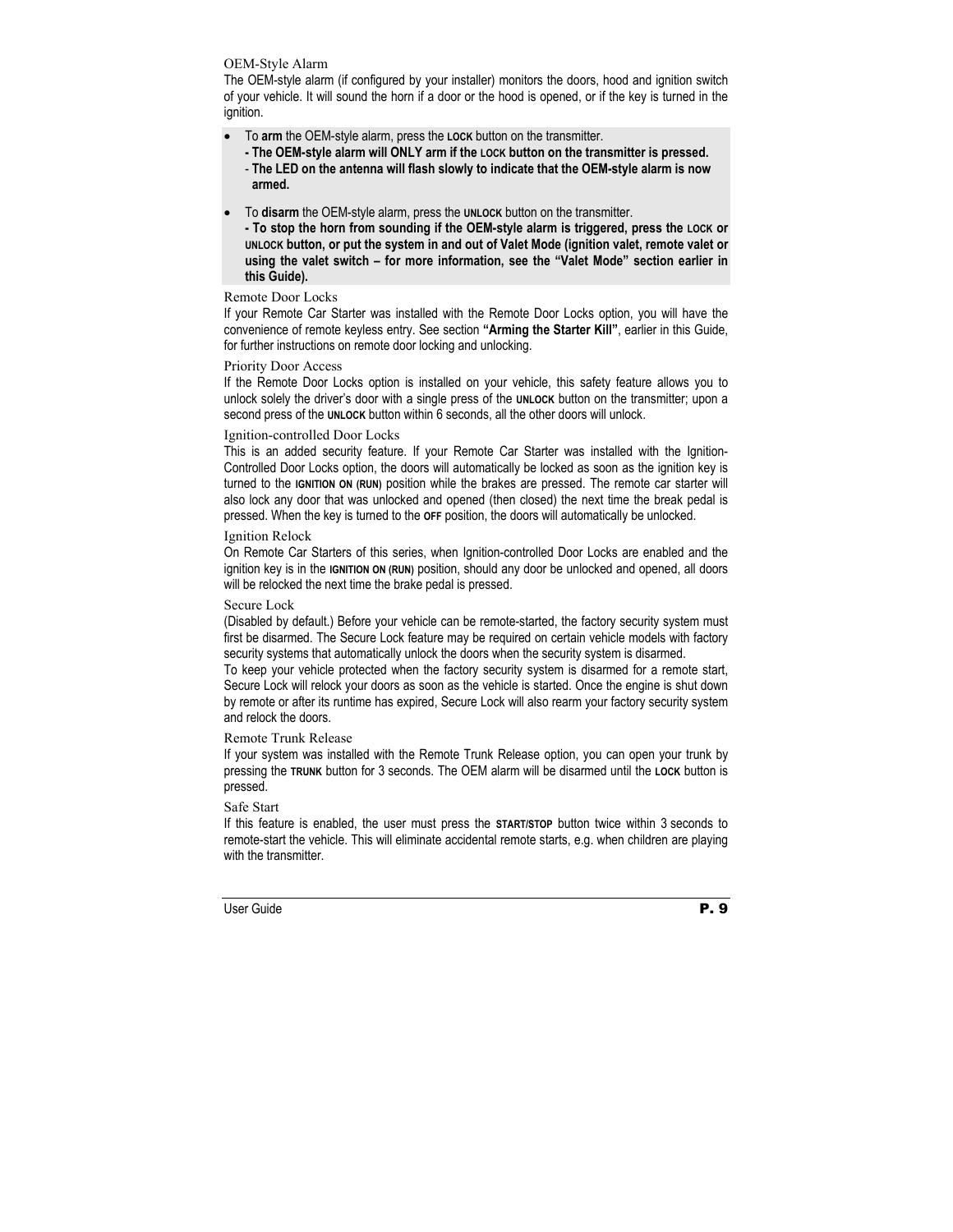#### OEM-Style Alarm

The OEM-style alarm (if configured by your installer) monitors the doors, hood and ignition switch of your vehicle. It will sound the horn if a door or the hood is opened, or if the key is turned in the ignition.

- To **arm** the OEM-style alarm, press the **LOCK** button on the transmitter.
	- **The OEM-style alarm will ONLY arm if the LOCK button on the transmitter is pressed.**
	- **The LED on the antenna will flash slowly to indicate that the OEM-style alarm is now armed.**
- To **disarm** the OEM-style alarm, press the **UNLOCK** button on the transmitter.
	- **To stop the horn from sounding if the OEM-style alarm is triggered, press the LOCK or UNLOCK button, or put the system in and out of Valet Mode (ignition valet, remote valet or using the valet switch – for more information, see the "Valet Mode" section earlier in this Guide).**

#### Remote Door Locks

If your Remote Car Starter was installed with the Remote Door Locks option, you will have the convenience of remote keyless entry. See section **"Arming the Starter Kill"**, earlier in this Guide, for further instructions on remote door locking and unlocking.

#### Priority Door Access

If the Remote Door Locks option is installed on your vehicle, this safety feature allows you to unlock solely the driver's door with a single press of the **UNLOCK** button on the transmitter; upon a second press of the **UNLOCK** button within 6 seconds, all the other doors will unlock.

#### Ignition-controlled Door Locks

This is an added security feature. If your Remote Car Starter was installed with the Ignition-Controlled Door Locks option, the doors will automatically be locked as soon as the ignition key is turned to the **IGNITION ON (RUN)** position while the brakes are pressed. The remote car starter will also lock any door that was unlocked and opened (then closed) the next time the break pedal is pressed. When the key is turned to the **OFF** position, the doors will automatically be unlocked.

#### Ignition Relock

On Remote Car Starters of this series, when Ignition-controlled Door Locks are enabled and the ignition key is in the **IGNITION ON (RUN)** position, should any door be unlocked and opened, all doors will be relocked the next time the brake pedal is pressed.

#### Secure Lock

(Disabled by default.) Before your vehicle can be remote-started, the factory security system must first be disarmed. The Secure Lock feature may be required on certain vehicle models with factory security systems that automatically unlock the doors when the security system is disarmed.

To keep your vehicle protected when the factory security system is disarmed for a remote start, Secure Lock will relock your doors as soon as the vehicle is started. Once the engine is shut down by remote or after its runtime has expired, Secure Lock will also rearm your factory security system and relock the doors.

#### Remote Trunk Release

If your system was installed with the Remote Trunk Release option, you can open your trunk by pressing the **TRUNK** button for 3 seconds. The OEM alarm will be disarmed until the **LOCK** button is pressed.

#### Safe Start

If this feature is enabled, the user must press the **START/STOP** button twice within 3 seconds to remote-start the vehicle. This will eliminate accidental remote starts, e.g. when children are playing with the transmitter.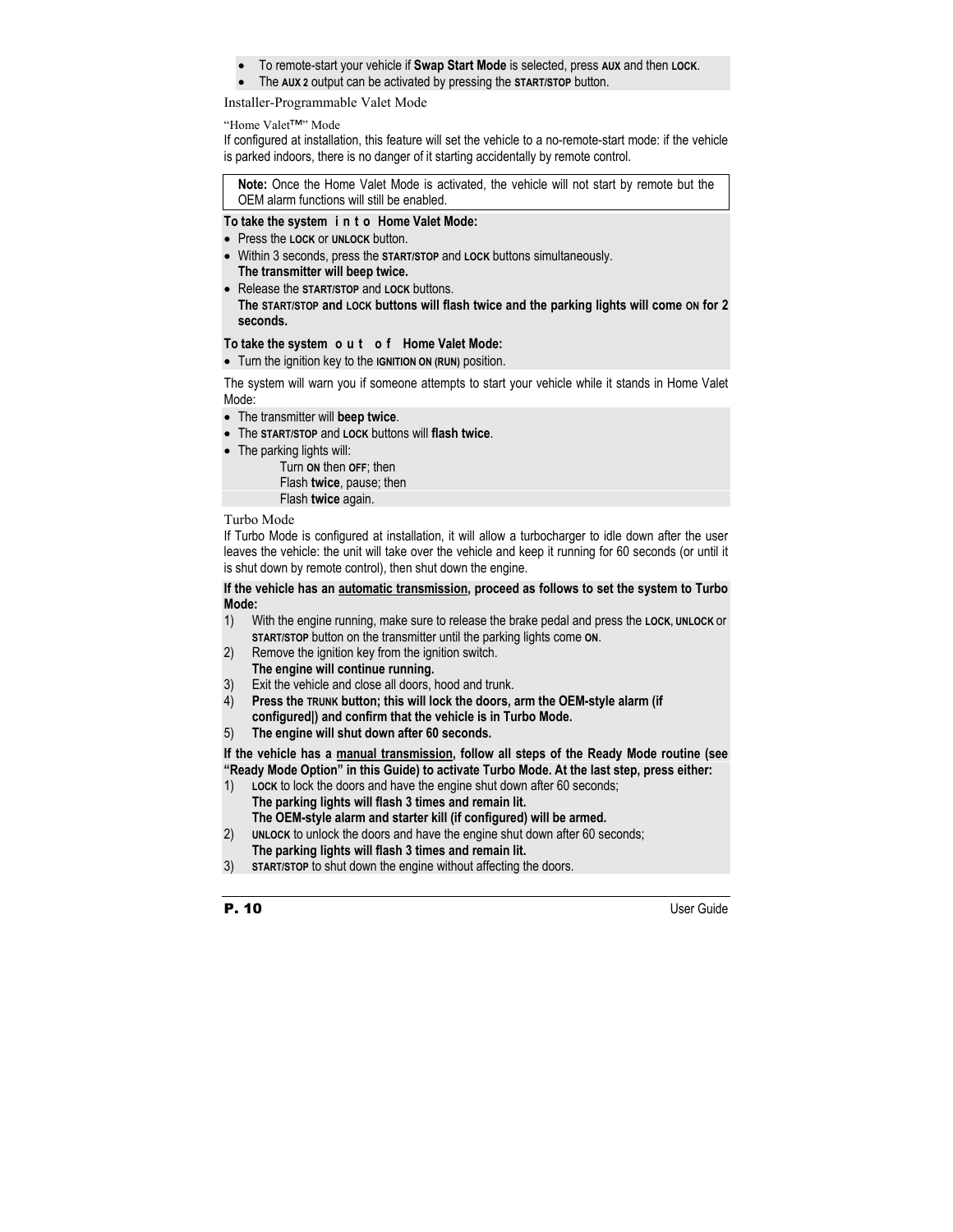- To remote-start your vehicle if **Swap Start Mode** is selected, press **AUX** and then **LOCK**.
- The **AUX 2** output can be activated by pressing the **START/STOP** button.

#### Installer-Programmable Valet Mode

#### "Home Valet™" Mode

If configured at installation, this feature will set the vehicle to a no-remote-start mode: if the vehicle is parked indoors, there is no danger of it starting accidentally by remote control.

**Note:** Once the Home Valet Mode is activated, the vehicle will not start by remote but the OEM alarm functions will still be enabled.

#### **To take the system i n t o Home Valet Mode:**

- Press the **LOCK** or **UNLOCK** button.
- Within 3 seconds, press the **START/STOP** and **LOCK** buttons simultaneously. **The transmitter will beep twice.**
- Release the **START/STOP** and **LOCK** buttons. **The START/STOP and LOCK buttons will flash twice and the parking lights will come ON for 2 seconds.**

#### **To take the system o u t o f Home Valet Mode:**

• Turn the ignition key to the **IGNITION ON (RUN)** position.

The system will warn you if someone attempts to start your vehicle while it stands in Home Valet Mode:

- The transmitter will **beep twice**.
- The **START/STOP** and **LOCK** buttons will **flash twice**.
- The parking lights will:

 Turn **ON** then **OFF**; then Flash **twice**, pause; then Flash **twice** again.

#### Turbo Mode

If Turbo Mode is configured at installation, it will allow a turbocharger to idle down after the user leaves the vehicle: the unit will take over the vehicle and keep it running for 60 seconds (or until it is shut down by remote control), then shut down the engine.

#### **If the vehicle has an automatic transmission, proceed as follows to set the system to Turbo Mode:**

- 1) With the engine running, make sure to release the brake pedal and press the **LOCK, UNLOCK** or **START/STOP** button on the transmitter until the parking lights come **ON**.
- 2) Remove the ignition key from the ignition switch.
- **The engine will continue running.**
- 3) Exit the vehicle and close all doors, hood and trunk.
- 4) **Press the TRUNK button; this will lock the doors, arm the OEM-style alarm (if configured|) and confirm that the vehicle is in Turbo Mode.**
- 5) **The engine will shut down after 60 seconds.**

**If the vehicle has a manual transmission, follow all steps of the Ready Mode routine (see "Ready Mode Option" in this Guide) to activate Turbo Mode. At the last step, press either:** 

- 1) **LOCK** to lock the doors and have the engine shut down after 60 seconds; **The parking lights will flash 3 times and remain lit. The OEM-style alarm and starter kill (if configured) will be armed.**
- 2) **UNLOCK** to unlock the doors and have the engine shut down after 60 seconds;
	- **The parking lights will flash 3 times and remain lit.**
- 3) **START/STOP** to shut down the engine without affecting the doors.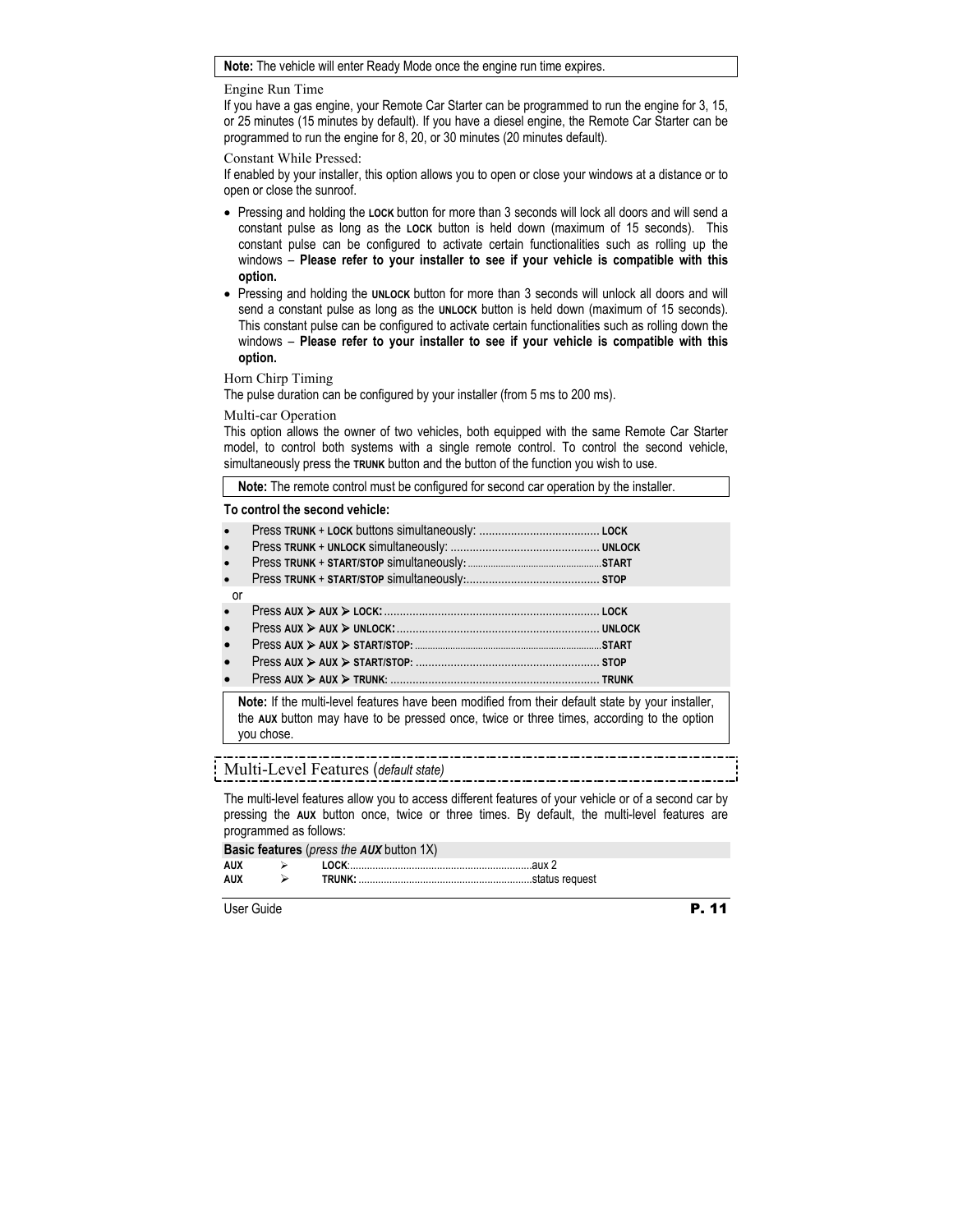#### **Note:** The vehicle will enter Ready Mode once the engine run time expires.

#### Engine Run Time

If you have a gas engine, your Remote Car Starter can be programmed to run the engine for 3, 15, or 25 minutes (15 minutes by default). If you have a diesel engine, the Remote Car Starter can be programmed to run the engine for 8, 20, or 30 minutes (20 minutes default).

#### Constant While Pressed:

If enabled by your installer, this option allows you to open or close your windows at a distance or to open or close the sunroof.

- Pressing and holding the **LOCK** button for more than 3 seconds will lock all doors and will send a constant pulse as long as the **LOCK** button is held down (maximum of 15 seconds). This constant pulse can be configured to activate certain functionalities such as rolling up the windows – **Please refer to your installer to see if your vehicle is compatible with this option.**
- Pressing and holding the **UNLOCK** button for more than 3 seconds will unlock all doors and will send a constant pulse as long as the **UNLOCK** button is held down (maximum of 15 seconds). This constant pulse can be configured to activate certain functionalities such as rolling down the windows – **Please refer to your installer to see if your vehicle is compatible with this option.**

#### Horn Chirp Timing

The pulse duration can be configured by your installer (from 5 ms to 200 ms).

#### Multi-car Operation

This option allows the owner of two vehicles, both equipped with the same Remote Car Starter model, to control both systems with a single remote control. To control the second vehicle, simultaneously press the **TRUNK** button and the button of the function you wish to use.

**Note:** The remote control must be configured for second car operation by the installer.

#### **To control the second vehicle:**

| $\bullet$ |                  |  |
|-----------|------------------|--|
| $\bullet$ |                  |  |
| $\bullet$ |                  |  |
|           |                  |  |
| or        |                  |  |
| $\bullet$ |                  |  |
| $\bullet$ |                  |  |
| $\bullet$ |                  |  |
| $\bullet$ |                  |  |
|           | $\sum_{i=1}^{n}$ |  |

• Press **AUX** ¾ **AUX** ¾ **TRUNK:** .................................................................. **TRUNK**

**Note:** If the multi-level features have been modified from their default state by your installer, the **AUX** button may have to be pressed once, twice or three times, according to the option you chose.

# Multi-Level Features (*default state)*

The multi-level features allow you to access different features of your vehicle or of a second car by pressing the **AUX** button once, twice or three times. By default, the multi-level features are programmed as follows:

#### **Basic features** (*press the AUX* button 1X)

|      | --------- |  |
|------|-----------|--|
| AIIX |           |  |
| ΔIIX |           |  |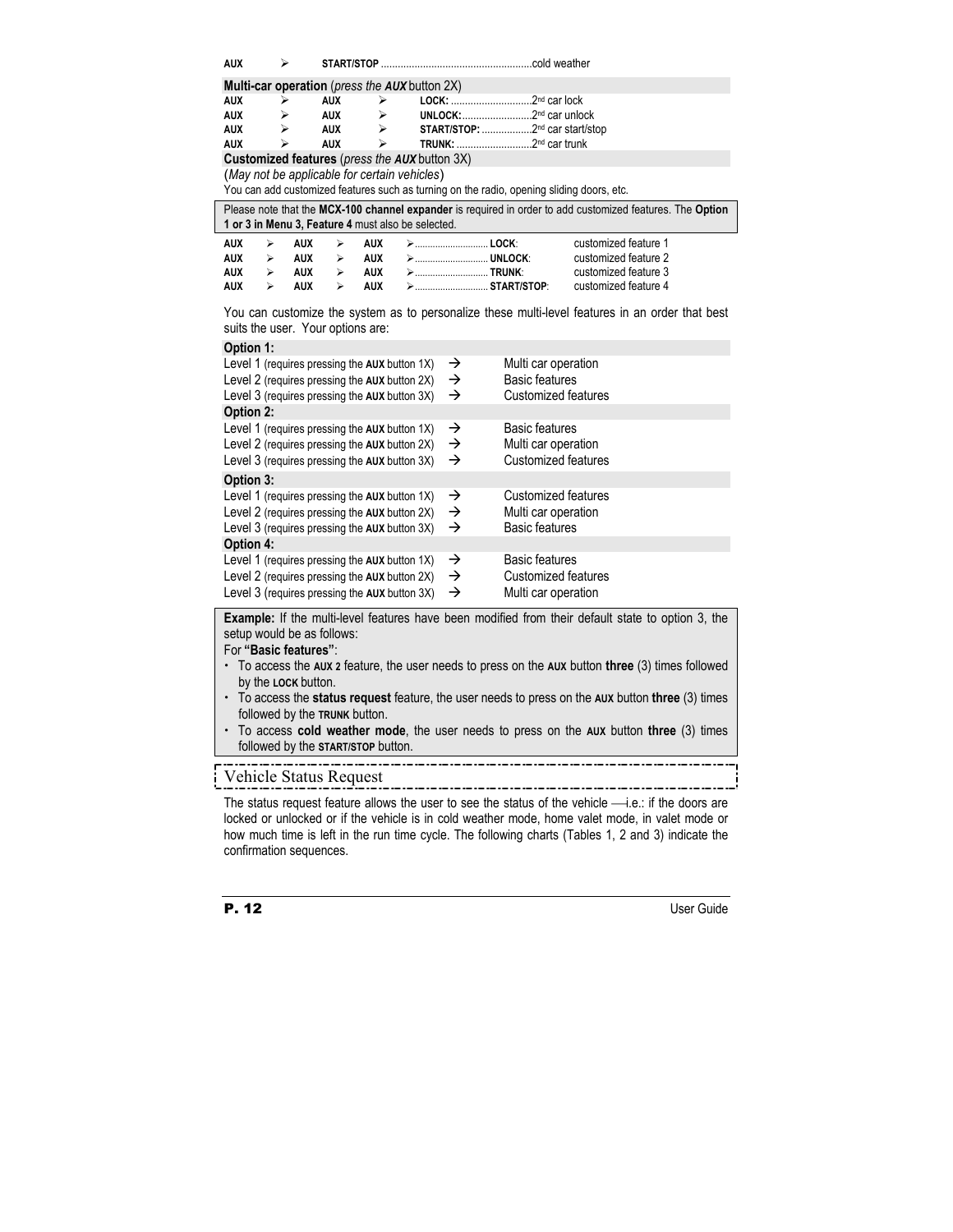| <b>AUX</b>                                                   | ⋗ |            |                                                                       |                                                    |  |               |                                                                                           |                                                                                                           |  |  |
|--------------------------------------------------------------|---|------------|-----------------------------------------------------------------------|----------------------------------------------------|--|---------------|-------------------------------------------------------------------------------------------|-----------------------------------------------------------------------------------------------------------|--|--|
| <b>Multi-car operation</b> ( <i>press the AUX</i> button 2X) |   |            |                                                                       |                                                    |  |               |                                                                                           |                                                                                                           |  |  |
| <b>AUX</b>                                                   | ➤ |            | <b>AUX</b><br>$\blacktriangleright$                                   |                                                    |  |               |                                                                                           |                                                                                                           |  |  |
| <b>AUX</b>                                                   | ➤ |            | <b>AUX</b><br>$\blacktriangleright$                                   |                                                    |  |               |                                                                                           |                                                                                                           |  |  |
| <b>AUX</b>                                                   | ⋗ |            | START/STOP: 2nd car start/stop<br><b>AUX</b><br>$\blacktriangleright$ |                                                    |  |               |                                                                                           |                                                                                                           |  |  |
| <b>AUX</b>                                                   | ↘ |            | <b>AUX</b>                                                            | ⋗                                                  |  |               |                                                                                           |                                                                                                           |  |  |
|                                                              |   |            |                                                                       | Customized features (press the AUX button 3X)      |  |               |                                                                                           |                                                                                                           |  |  |
|                                                              |   |            |                                                                       | (May not be applicable for certain vehicles)       |  |               |                                                                                           |                                                                                                           |  |  |
|                                                              |   |            |                                                                       |                                                    |  |               | You can add customized features such as turning on the radio, opening sliding doors, etc. |                                                                                                           |  |  |
|                                                              |   |            |                                                                       | 1 or 3 in Menu 3, Feature 4 must also be selected. |  |               |                                                                                           | Please note that the MCX-100 channel expander is required in order to add customized features. The Option |  |  |
| <b>AUX</b>                                                   | ➤ | <b>AUX</b> | ⋗                                                                     | <b>AUX</b>                                         |  |               |                                                                                           | customized feature 1                                                                                      |  |  |
| <b>AUX</b>                                                   | ≻ | <b>AUX</b> | ≻                                                                     | <b>AUX</b>                                         |  |               |                                                                                           | customized feature 2                                                                                      |  |  |
| <b>AUX</b>                                                   | ⋗ | AUX        | ➤                                                                     | <b>AUX</b>                                         |  |               | >TRUNK:                                                                                   | customized feature 3                                                                                      |  |  |
| <b>AUX</b>                                                   | ⋗ | <b>AUX</b> | ⋗                                                                     | <b>AUX</b>                                         |  |               | >  START/STOP:                                                                            | customized feature 4                                                                                      |  |  |
| suits the user. Your options are:                            |   |            |                                                                       |                                                    |  |               |                                                                                           | You can customize the system as to personalize these multi-level features in an order that best           |  |  |
| Option 1:                                                    |   |            |                                                                       |                                                    |  |               |                                                                                           |                                                                                                           |  |  |
|                                                              |   |            |                                                                       | Level 1 (requires pressing the AUX button 1X)      |  | →             | Multi car operation                                                                       |                                                                                                           |  |  |
|                                                              |   |            |                                                                       | Level 2 (requires pressing the AUX button 2X)      |  | →             | <b>Basic features</b>                                                                     |                                                                                                           |  |  |
|                                                              |   |            |                                                                       | Level 3 (requires pressing the AUX button 3X)      |  | $\rightarrow$ | Customized features                                                                       |                                                                                                           |  |  |
| Option 2:                                                    |   |            |                                                                       |                                                    |  |               |                                                                                           |                                                                                                           |  |  |
|                                                              |   |            |                                                                       | Level 1 (requires pressing the AUX button 1X)      |  | →             | <b>Basic features</b>                                                                     |                                                                                                           |  |  |
|                                                              |   |            |                                                                       | Level 2 (requires pressing the AUX button 2X)      |  | →             | Multi car operation                                                                       |                                                                                                           |  |  |
|                                                              |   |            |                                                                       | Level 3 (requires pressing the AUX button 3X)      |  | →             | Customized features                                                                       |                                                                                                           |  |  |
| Option 3:                                                    |   |            |                                                                       |                                                    |  |               |                                                                                           |                                                                                                           |  |  |
|                                                              |   |            |                                                                       | Level 1 (requires pressing the AUX button 1X)      |  | →             | Customized features                                                                       |                                                                                                           |  |  |
|                                                              |   |            |                                                                       | Level 2 (requires pressing the AUX button 2X)      |  | →             | Multi car operation                                                                       |                                                                                                           |  |  |
|                                                              |   |            |                                                                       | Level 3 (requires pressing the AUX button 3X)      |  | →             | <b>Basic features</b>                                                                     |                                                                                                           |  |  |
| Option 4:                                                    |   |            |                                                                       |                                                    |  |               |                                                                                           |                                                                                                           |  |  |
|                                                              |   |            |                                                                       | Level 1 (requires pressing the AUX button 1X)      |  | →             | <b>Basic features</b>                                                                     |                                                                                                           |  |  |
|                                                              |   |            |                                                                       | Level 2 (requires pressing the AUX button 2X)      |  | →             | <b>Customized features</b>                                                                |                                                                                                           |  |  |
|                                                              |   |            |                                                                       | Level 3 (requires pressing the AUX button 3X)      |  | →             | Multi car operation                                                                       |                                                                                                           |  |  |
|                                                              |   |            | $\mathbf{r}$ and $\mathbf{r}$ and $\mathbf{r}$                        |                                                    |  |               |                                                                                           | <b>PC 17 0 17 17 18 18 18 1</b>                                                                           |  |  |

**Example:** If the multi-level features have been modified from their default state to option 3, the setup would be as follows:

#### For **"Basic features"**:

- x To access the **AUX 2** feature, the user needs to press on the **AUX** button **three** (3) times followed by the **LOCK** button.
- x To access the **status request** feature, the user needs to press on the **AUX** button **three** (3) times followed by the **TRUNK** button.
- x To access **cold weather mode**, the user needs to press on the **AUX** button **three** (3) times followed by the **START/STOP** button.

Vehicle Status Request

The status request feature allows the user to see the status of the vehicle  $\longrightarrow$  i.e.: if the doors are locked or unlocked or if the vehicle is in cold weather mode, home valet mode, in valet mode or how much time is left in the run time cycle. The following charts (Tables 1, 2 and 3) indicate the confirmation sequences.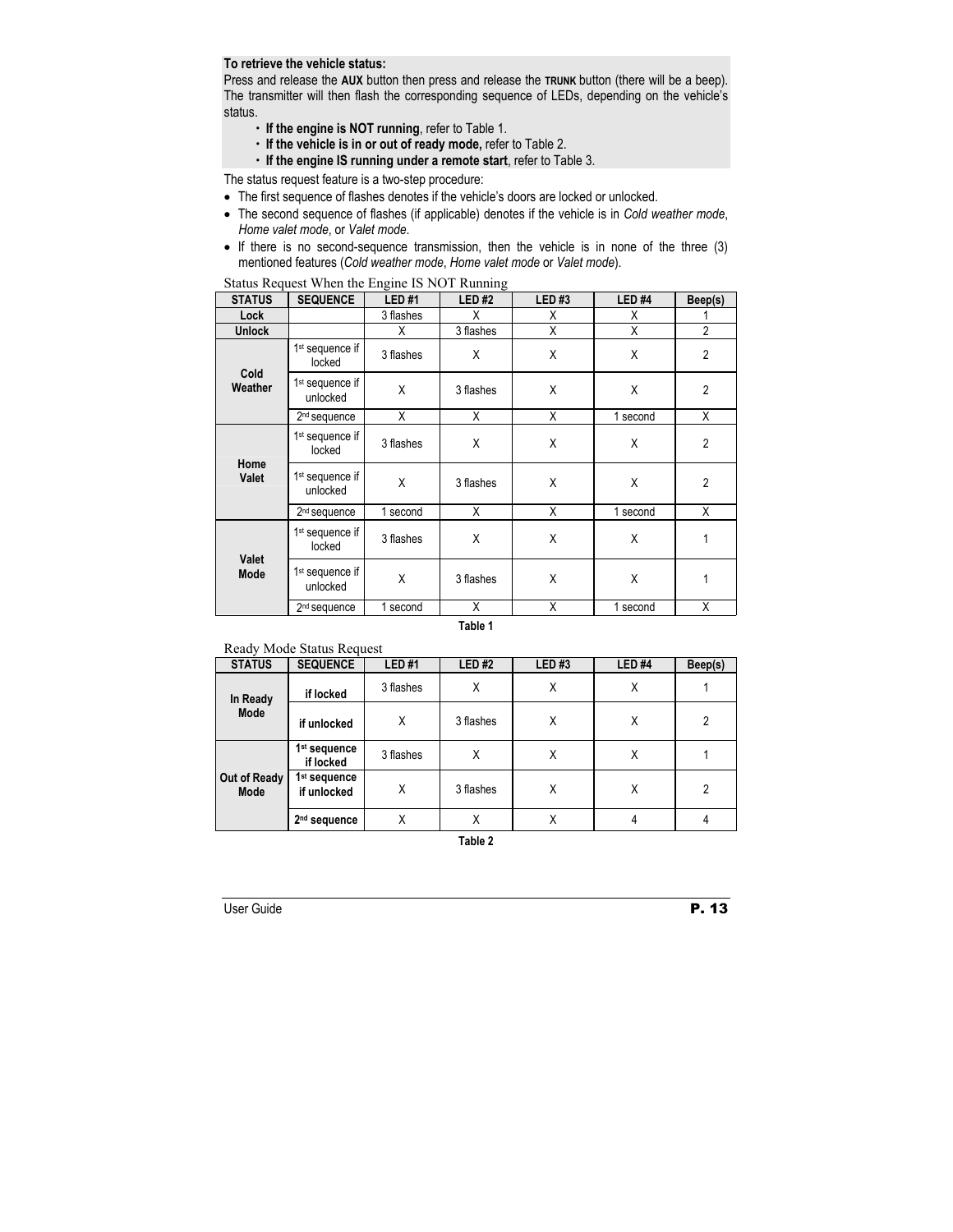## **To retrieve the vehicle status:**

Press and release the **AUX** button then press and release the **TRUNK** button (there will be a beep). The transmitter will then flash the corresponding sequence of LEDs, depending on the vehicle's status.

- x **If the engine is NOT running**, refer to Table 1.
- x **If the vehicle is in or out of ready mode,** refer to Table 2.
- x **If the engine IS running under a remote start**, refer to Table 3.

The status request feature is a two-step procedure:

- The first sequence of flashes denotes if the vehicle's doors are locked or unlocked.
- The second sequence of flashes (if applicable) denotes if the vehicle is in *Cold weather mode*, *Home valet mode*, or *Valet mode*.
- If there is no second-sequence transmission, then the vehicle is in none of the three (3) mentioned features (*Cold weather mode*, *Home valet mode* or *Valet mode*).

| <b>STATUS</b>   | <b>SEQUENCE</b>                         | <b>LED#1</b> | <b>LED#2</b> | <b>LED#3</b> | LED <sub>#4</sub> | Beep(s)        |
|-----------------|-----------------------------------------|--------------|--------------|--------------|-------------------|----------------|
| Lock            |                                         | 3 flashes    | Χ            | X            | Χ                 |                |
| <b>Unlock</b>   |                                         | X            | 3 flashes    | X            | Χ                 | $\overline{2}$ |
| Cold<br>Weather | 1 <sup>st</sup> sequence if<br>locked   | 3 flashes    | X            | X            | X                 | $\overline{2}$ |
|                 | 1 <sup>st</sup> sequence if<br>unlocked | X            | 3 flashes    | X            | X                 | $\overline{2}$ |
|                 | 2 <sup>nd</sup> sequence                | X            | X            | X            | 1 second          | X              |
| Home<br>Valet   | 1 <sup>st</sup> sequence if<br>locked   | 3 flashes    | X            | X            | X                 | $\overline{2}$ |
|                 | 1 <sup>st</sup> sequence if<br>unlocked | X            | 3 flashes    | X            | X                 | $\overline{2}$ |
|                 | 2 <sup>nd</sup> sequence                | 1 second     | X            | X            | 1 second          | Χ              |
| Valet<br>Mode   | 1 <sup>st</sup> sequence if<br>locked   | 3 flashes    | X            | X            | X                 | 1              |
|                 | 1 <sup>st</sup> sequence if<br>unlocked | X            | 3 flashes    | X            | Χ                 | 1              |
|                 | 2 <sup>nd</sup> sequence                | 1 second     | X            | Χ            | 1<br>second       | X              |

Status Request When the Engine IS NOT Running

**Table 1** 

#### Ready Mode Status Request

| <b>STATUS</b>        | <b>SEQUENCE</b>                         | <b>LED#1</b> | LED#2     | <b>LED#3</b> | LED <sub>#4</sub> | Beep(s)        |
|----------------------|-----------------------------------------|--------------|-----------|--------------|-------------------|----------------|
| In Ready<br>Mode     | if locked                               | 3 flashes    | Χ         | Χ            | Χ                 |                |
|                      | if unlocked                             | Χ            | 3 flashes | Χ            | Χ                 | $\overline{2}$ |
| Out of Ready<br>Mode | 1 <sup>st</sup> sequence<br>if locked   | 3 flashes    | Χ         | Χ            | Χ                 |                |
|                      | 1 <sup>st</sup> sequence<br>if unlocked | Χ            | 3 flashes | Χ            | Χ                 | 2              |
|                      | 2 <sup>nd</sup> sequence                | X            | Χ         | Χ            | 4                 | 4              |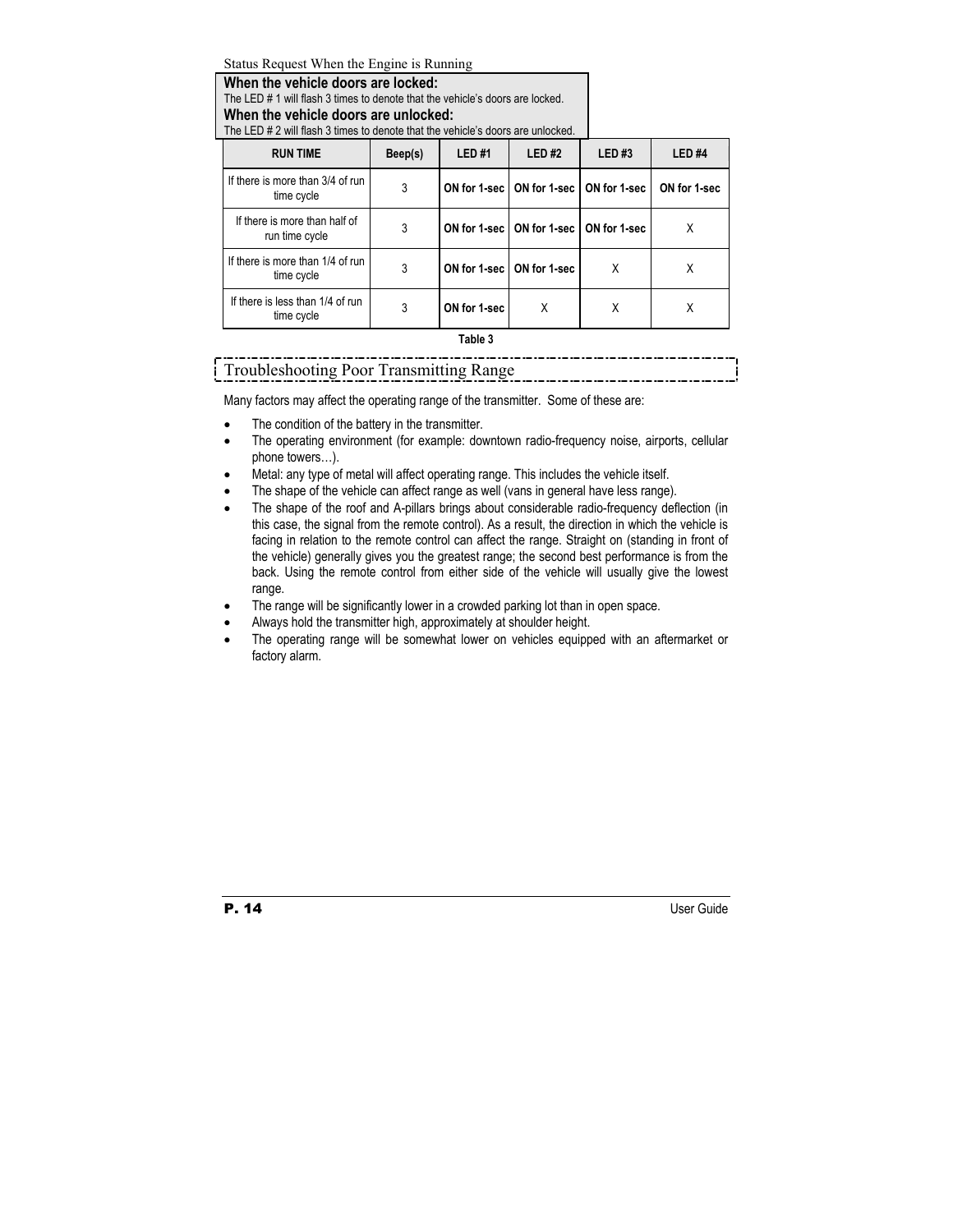Status Request When the Engine is Running

**When the vehicle doors are locked:** 

The LED # 1 will flash 3 times to denote that the vehicle's doors are locked.

# **When the vehicle doors are unlocked:**

The LED # 2 will flash 3 times to denote that the vehicle's doors are unlocked.

| <b>RUN TIME</b>                                 | Beep(s) | LED#1        | LED#2                                      | <b>LED#3</b> | LED <sub>#4</sub> |
|-------------------------------------------------|---------|--------------|--------------------------------------------|--------------|-------------------|
| If there is more than 3/4 of run<br>time cycle  | 3       |              | ON for 1-sec   ON for 1-sec   ON for 1-sec |              | ON for 1-sec      |
| If there is more than half of<br>run time cycle | 3       |              | ON for 1-sec   ON for 1-sec   ON for 1-sec |              | X                 |
| If there is more than 1/4 of run<br>time cycle  | 3       |              | ON for 1-sec   ON for 1-sec                | X            | X                 |
| If there is less than 1/4 of run<br>time cycle  | 3       | ON for 1-sec | X                                          | X            | Х                 |

#### **Table 3**

Troubleshooting Poor Transmitting Range

Many factors may affect the operating range of the transmitter. Some of these are:

- The condition of the battery in the transmitter.
- The operating environment (for example: downtown radio-frequency noise, airports, cellular phone towers…).
- Metal: any type of metal will affect operating range. This includes the vehicle itself.
- The shape of the vehicle can affect range as well (vans in general have less range).
- The shape of the roof and A-pillars brings about considerable radio-frequency deflection (in this case, the signal from the remote control). As a result, the direction in which the vehicle is facing in relation to the remote control can affect the range. Straight on (standing in front of the vehicle) generally gives you the greatest range; the second best performance is from the back. Using the remote control from either side of the vehicle will usually give the lowest range.
- The range will be significantly lower in a crowded parking lot than in open space.
- Always hold the transmitter high, approximately at shoulder height.
- The operating range will be somewhat lower on vehicles equipped with an aftermarket or factory alarm.